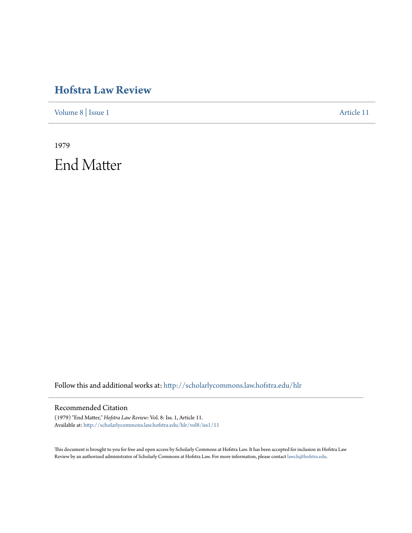### **[Hofstra Law Review](http://scholarlycommons.law.hofstra.edu/hlr?utm_source=scholarlycommons.law.hofstra.edu%2Fhlr%2Fvol8%2Fiss1%2F11&utm_medium=PDF&utm_campaign=PDFCoverPages)**

[Volume 8](http://scholarlycommons.law.hofstra.edu/hlr/vol8?utm_source=scholarlycommons.law.hofstra.edu%2Fhlr%2Fvol8%2Fiss1%2F11&utm_medium=PDF&utm_campaign=PDFCoverPages) | [Issue 1](http://scholarlycommons.law.hofstra.edu/hlr/vol8/iss1?utm_source=scholarlycommons.law.hofstra.edu%2Fhlr%2Fvol8%2Fiss1%2F11&utm_medium=PDF&utm_campaign=PDFCoverPages) [Article 11](http://scholarlycommons.law.hofstra.edu/hlr/vol8/iss1/11?utm_source=scholarlycommons.law.hofstra.edu%2Fhlr%2Fvol8%2Fiss1%2F11&utm_medium=PDF&utm_campaign=PDFCoverPages)

1979 End Matter

Follow this and additional works at: [http://scholarlycommons.law.hofstra.edu/hlr](http://scholarlycommons.law.hofstra.edu/hlr?utm_source=scholarlycommons.law.hofstra.edu%2Fhlr%2Fvol8%2Fiss1%2F11&utm_medium=PDF&utm_campaign=PDFCoverPages)

#### Recommended Citation

(1979) "End Matter," *Hofstra Law Review*: Vol. 8: Iss. 1, Article 11. Available at: [http://scholarlycommons.law.hofstra.edu/hlr/vol8/iss1/11](http://scholarlycommons.law.hofstra.edu/hlr/vol8/iss1/11?utm_source=scholarlycommons.law.hofstra.edu%2Fhlr%2Fvol8%2Fiss1%2F11&utm_medium=PDF&utm_campaign=PDFCoverPages)

This document is brought to you for free and open access by Scholarly Commons at Hofstra Law. It has been accepted for inclusion in Hofstra Law Review by an authorized administrator of Scholarly Commons at Hofstra Law. For more information, please contact [lawcls@hofstra.edu](mailto:lawcls@hofstra.edu).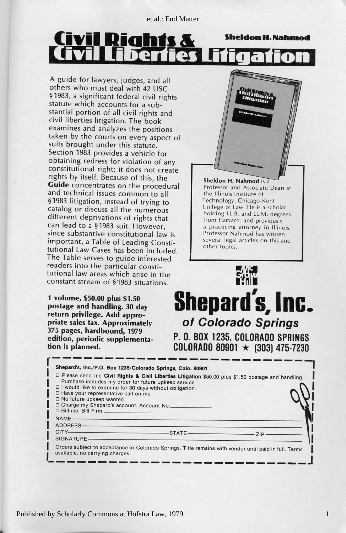et al.: End Matter

#### **IN 1** W Sheldon H. Nahmod m **SATE**

A guide for lawyers, judges, and all<br>others who must deal with 42 USC §1983, a significant federal civil rights<br>statute which accounts for a substantial portion of all civil rights and civil liberties litigation. The book taken by the courts on every aspect of Section 1983 provides a vehicle for  $obtaining redress for violation of any$ constitutional right; it does not create rights by itself. Because of this, the Guide concentrates on the procedural and technical issues common to all<br>§1983 litigation, instead of trying to catalog or discuss all the numerous different deprivations of rights that<br>can lead to a §1983 suit. However,<br>since substantive constitutional law is important, a Table of Leading Constitutional Law Cases has been included.<br>The Table serves to guide interested<br>readers into the particular constitutional law areas which arise in the

tion is planned. erioaic suppleme  $t_{\rm s}$   $\sim$   $t_{\rm r}$  ,  $\sim$   $t_{\rm r}$ 375 pages, hardbound, 1979 priate sales tax. Approximately return privilege. Add appropostage and handling. 30 day  $\frac{1}{2}$  $\theta$  s the second later  $\theta$  seems the second later second later  $\theta$ 



 $\mathbf{S}^{\text{max}}$  situations  $\mathbf{S}^{\text{max}}$ **Professor Nahmod has written**<br>several legal articles on this and a practicing attorney in Illinois. from Harvard, and previously College of Law. He is a scholar<br>holding LL.B. and LL.M. degrees **7echnology**, Chicago-Kent  $the$  *lllinois lnstitute* of **Sheldon H. Nahmod** is a<br>Professor and Associate Dean at



| Shepard's, Inc./P.O. Box 1235/Colorado Springs, Colo. 80901                                                                                                                                                                                   |                                                                                                       |            |
|-----------------------------------------------------------------------------------------------------------------------------------------------------------------------------------------------------------------------------------------------|-------------------------------------------------------------------------------------------------------|------------|
| Purchase includes my order for future upkeep service.<br>□ I would like to examine for 30 days without obligation.<br>□ Have your representative call on me.<br>$\Box$ No future upkeep wanted.<br>D Charge my Shepard's account. Account No. | □ Please send me Civil Rights & Civil Liberties Litigation \$50.00 plus \$1.50 postage and handling.  |            |
| NAME<br>ADDRESS-                                                                                                                                                                                                                              |                                                                                                       |            |
| CITY———————————————————STATE—<br>SIGNATURE-                                                                                                                                                                                                   |                                                                                                       | <b>ZIP</b> |
| available, no carrying charges.                                                                                                                                                                                                               | Orders subject to acceptance in Colorado Springs. Title remains with vendor until paid in full. Terms |            |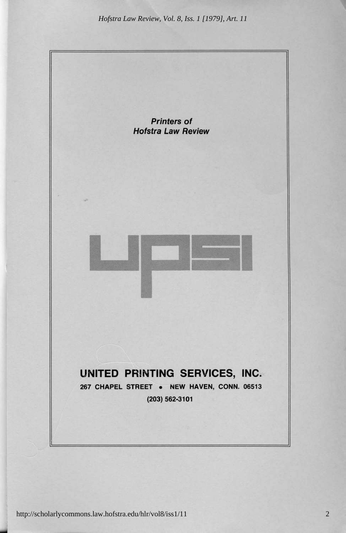*Hofstra Law Review, Vol. 8, Iss. 1 [1979], Art. 11*



http://scholarlycommons.law.hofstra.edu/hlr/vol8/iss1/11